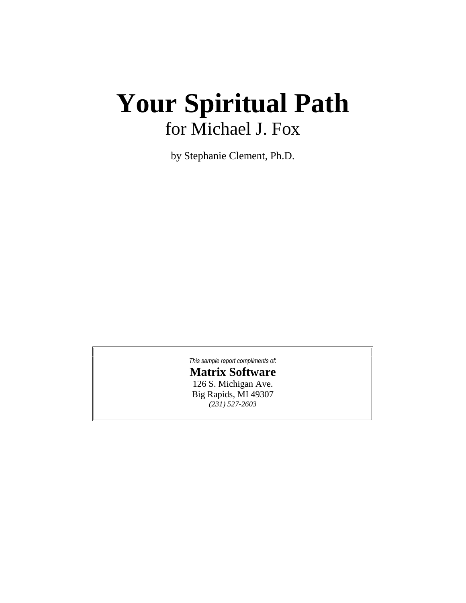# **Your Spiritual Path** for Michael J. Fox

by Stephanie Clement, Ph.D.

*This sample report [compliments](http://www.astrologysoftware.com/software/rws/spath/pro_spath.asp?orig=) of*:

# **Matrix [Software](http://www.astrologysoftware.com/software/rws/spath/pro_spath.asp?orig=)**

126 S. [Michigan](http://www.astrologysoftware.com/software/rws/spath/pro_spath.asp?orig=) Ave. Big [Rapids,](http://www.astrologysoftware.com/software/rws/spath/pro_spath.asp?orig=) MI 49307 *(231) [527-2603](http://www.astrologysoftware.com/software/rws/spath/pro_spath.asp?orig=)*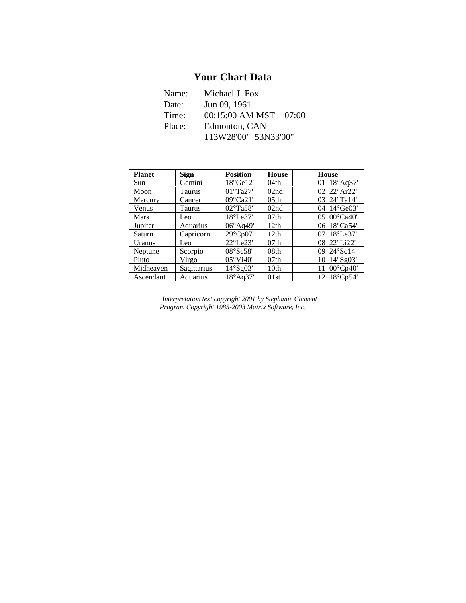# **Your Chart Data**

| Name:  | Michael J. Fox             |  |  |
|--------|----------------------------|--|--|
| Date:  | Jun 09, 1961               |  |  |
| Time:  | $00:15:00$ AM MST $+07:00$ |  |  |
| Place: | Edmonton, CAN              |  |  |
|        | 113W28'00" 53N33'00"       |  |  |

| <b>Planet</b> | <b>Sign</b> | <b>Position</b>              | <b>House</b>     | <b>House</b>             |
|---------------|-------------|------------------------------|------------------|--------------------------|
| Sun           | Gemini      | $18^{\circ}$ Ge $12^{\circ}$ | 04th             | 01 $18^{\circ}$ Aq37'    |
| Moon          | Taurus      | $01^{\circ}$ Ta27'           | 02nd             | 02 22°Ar22'              |
| Mercury       | Cancer      | $09^{\circ}$ Ca21'           | 05 <sub>th</sub> | 03 24°Ta14'              |
| Venus         | Taurus      | 02°Ta58'                     | 02nd             | 04 14°Ge03'              |
| Mars          | Leo         | $18^{\circ}$ Le $37'$        | 07 <sub>th</sub> | 05 $00^{\circ}$ Ca40'    |
| Jupiter       | Aquarius    | $06^{\circ}$ Aq49'           | 12th             | 06 18°Ca54'              |
| Saturn        | Capricorn   | 29°Cp07'                     | 12th             | $18^{\circ}$ Le37'<br>07 |
| Uranus        | Leo         | $22^{\circ}$ Le $23'$        | 07 <sub>th</sub> | 08 22°Li22'              |
| Neptune       | Scorpio     | 08°Sc58'                     | 08th             | 09 24°Sc14'              |
| Pluto         | Virgo       | $05^{\circ}$ Vi40'           | 07 <sub>th</sub> | $14^{\circ}$ Sg03'<br>10 |
| Midheaven     | Sagittarius | 14°Sg03'                     | 10 <sub>th</sub> | $00^{\circ}$ Cp40'<br>11 |
| Ascendant     | Aquarius    | 18°Aq37'                     | 01st             | 12 18°Cp54'              |

*Interpretation textcopyright 2001 by Stephanie Clement Program Copyright 1985-2003 Matrix Software, Inc.*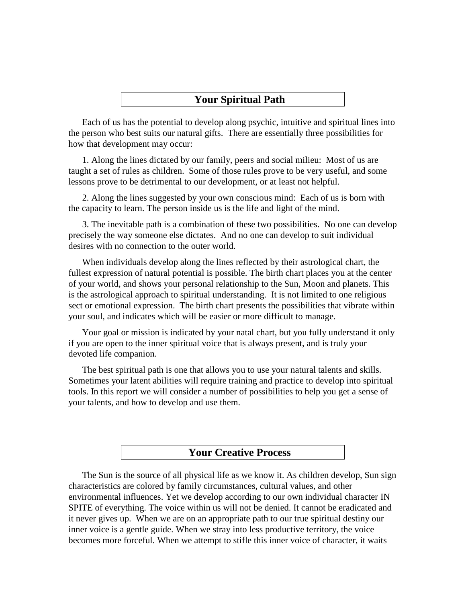## **Your Spiritual Path**

Each of us has the potential to develop along psychic, intuitive and spiritual lines into the person who best suits our natural gifts. There are essentially three possibilities for how that development may occur:

1. Along the lines dictated by our family, peers and social milieu: Most of us are taught a set of rules as children. Some of those rules prove to be very useful, and some lessons prove to be detrimental to our development, or at least not helpful.

2. Along the lines suggested by your own conscious mind: Each of us is born with the capacity to learn. The person inside us is the life and light of the mind.

3. The inevitable path is a combination of these two possibilities. No one can develop precisely the way someone else dictates. And no one can develop to suit individual desires with no connection to the outer world.

When individuals develop along the lines reflected by their astrological chart, the fullest expression of natural potential is possible. The birth chart places you at the center of your world, and shows your personal relationship to the Sun, Moon and planets. This is the astrological approach to spiritual understanding. It is not limited to one religious sect or emotional expression. The birth chart presents the possibilities that vibrate within your soul, and indicates which will be easier or more difficult to manage.

Your goal or mission is indicated by your natal chart, but you fully understand it only if you are open to the inner spiritual voice that is always present, and is truly your devoted life companion.

The best spiritual path is one that allows you to use your natural talents and skills. Sometimes your latent abilities will require training and practice to develop into spiritual tools. In this report we will consider a number of possibilities to help you get a sense of your talents, and how to develop and use them.

## **Your Creative Process**

The Sun is the source of all physical life as we know it. As children develop, Sun sign characteristics are colored by family circumstances, cultural values, and other environmental influences. Yet we develop according to our own individual character IN SPITE of everything. The voice within us will not be denied. It cannot be eradicated and it never gives up. When we are on an appropriate path to our true spiritual destiny our inner voice is a gentle guide. When we stray into less productive territory, the voice becomes more forceful. When we attempt to stifle this inner voice of character, it waits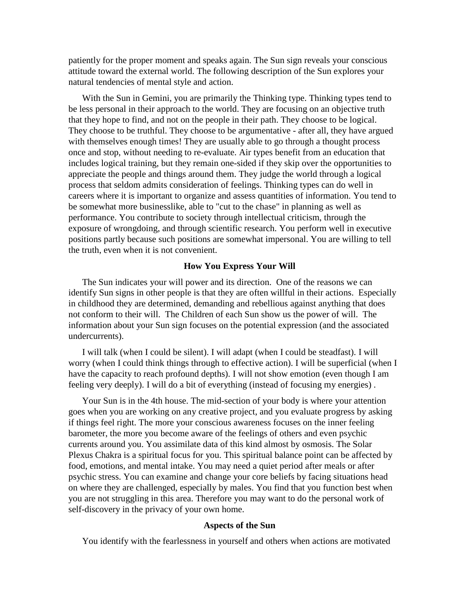patiently for the proper moment and speaks again. The Sun sign reveals your conscious attitude toward the external world. The following description of the Sun explores your natural tendencies of mental style and action.

With the Sun in Gemini, you are primarily the Thinking type. Thinking types tend to be less personal in their approach to the world. They are focusing on an objective truth that they hope to find, and not on the people in their path. They choose to be logical. They choose to be truthful. They choose to be argumentative - after all, they have argued with themselves enough times! They are usually able to go through a thought process once and stop, without needing to re-evaluate. Air types benefit from an education that includes logical training, but they remain one-sided if they skip over the opportunities to appreciate the people and things around them. They judge the world through a logical process that seldom admits consideration of feelings. Thinking types can do well in careers where it is important to organize and assess quantities of information. You tend to be somewhat more businesslike, able to "cut to the chase" in planning as well as performance. You contribute to society through intellectual criticism, through the exposure of wrongdoing, and through scientific research. You perform well in executive positions partly because such positions are somewhat impersonal. You are willing to tell the truth, even when it is not convenient.

#### **How You Express Your Will**

The Sun indicates your will power and its direction. One of the reasons we can identify Sun signs in other people is that they are often willful in their actions. Especially in childhood they are determined, demanding and rebellious against anything that does not conform to their will. The Children of each Sun show us the power of will. The information about your Sun sign focuses on the potential expression (and the associated undercurrents).

I will talk (when I could be silent). I will adapt (when I could be steadfast). I will worry (when I could think things through to effective action). I will be superficial (when I have the capacity to reach profound depths). I will not show emotion (even though I am feeling very deeply). I will do a bit of everything (instead of focusing my energies) .

Your Sun is in the 4th house. The mid-section of your body is where your attention goes when you are working on any creative project, and you evaluate progress by asking if things feel right. The more your conscious awareness focuses on the inner feeling barometer, the more you become aware of the feelings of others and even psychic currents around you. You assimilate data of this kind almost by osmosis. The Solar Plexus Chakra is a spiritual focus for you. This spiritual balance point can be affected by food, emotions, and mental intake. You may need a quiet period after meals or after psychic stress. You can examine and change your core beliefs by facing situations head on where they are challenged, especially by males. You find that you function best when you are not struggling in this area. Therefore you may want to do the personal work of self-discovery in the privacy of your own home.

#### **Aspects of the Sun**

You identify with the fearlessness in yourself and others when actions are motivated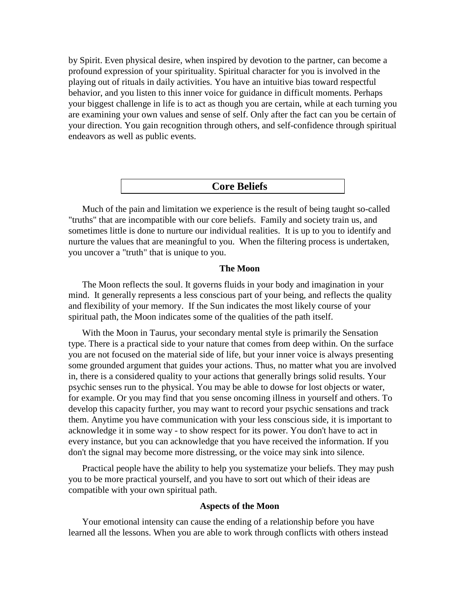by Spirit. Even physical desire, when inspired by devotion to the partner, can become a profound expression of your spirituality. Spiritual character for you is involved in the playing out of rituals in daily activities. You have an intuitive bias toward respectful behavior, and you listen to this inner voice for guidance in difficult moments. Perhaps your biggest challenge in life is to act as though you are certain, while at each turning you are examining your own values and sense of self. Only after the fact can you be certain of your direction. You gain recognition through others, and self-confidence through spiritual endeavors as well as public events.

#### **Core Beliefs**

Much of the pain and limitation we experience is the result of being taught so-called "truths" that are incompatible with our core beliefs. Family and society train us, and sometimes little is done to nurture our individual realities. It is up to you to identify and nurture the values that are meaningful to you. When the filtering process is undertaken, you uncover a "truth" that is unique to you.

#### **The Moon**

The Moon reflects the soul. It governs fluids in your body and imagination in your mind. It generally represents a less conscious part of your being, and reflects the quality and flexibility of your memory. If the Sun indicates the most likely course of your spiritual path, the Moon indicates some of the qualities of the path itself.

With the Moon in Taurus, your secondary mental style is primarily the Sensation type. There is a practical side to your nature that comes from deep within. On the surface you are not focused on the material side of life, but your inner voice is always presenting some grounded argument that guides your actions. Thus, no matter what you are involved in, there is a considered quality to your actions that generally brings solid results. Your psychic senses run to the physical. You may be able to dowse for lost objects or water, for example. Or you may find that you sense oncoming illness in yourself and others. To develop this capacity further, you may want to record your psychic sensations and track them. Anytime you have communication with your less conscious side, it is important to acknowledge it in some way - to show respect for its power. You don't have to act in every instance, but you can acknowledge that you have received the information. If you don't the signal may become more distressing, or the voice may sink into silence.

Practical people have the ability to help you systematize your beliefs. They may push you to be more practical yourself, and you have to sort out which of their ideas are compatible with your own spiritual path.

#### **Aspects of the Moon**

Your emotional intensity can cause the ending of a relationship before you have learned all the lessons. When you are able to work through conflicts with others instead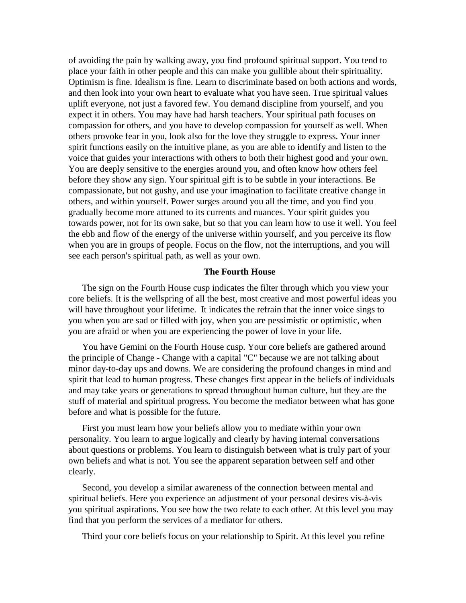of avoiding the pain by walking away, you find profound spiritual support. You tend to place your faith in other people and this can make you gullible about their spirituality. Optimism is fine. Idealism is fine. Learn to discriminate based on both actions and words, and then look into your own heart to evaluate what you have seen. True spiritual values uplift everyone, not just a favored few. You demand discipline from yourself, and you expect it in others. You may have had harsh teachers. Your spiritual path focuses on compassion for others, and you have to develop compassion for yourself as well. When others provoke fear in you, look also for the love they struggle to express. Your inner spirit functions easily on the intuitive plane, as you are able to identify and listen to the voice that guides your interactions with others to both their highest good and your own. You are deeply sensitive to the energies around you, and often know how others feel before they show any sign. Your spiritual gift is to be subtle in your interactions. Be compassionate, but not gushy, and use your imagination to facilitate creative change in others, and within yourself. Power surges around you all the time, and you find you gradually become more attuned to its currents and nuances. Your spirit guides you towards power, not for its own sake, but so that you can learn how to use it well. You feel the ebb and flow of the energy of the universe within yourself, and you perceive its flow when you are in groups of people. Focus on the flow, not the interruptions, and you will see each person's spiritual path, as well as your own.

#### **The Fourth House**

The sign on the Fourth House cusp indicates the filter through which you view your core beliefs. It is the wellspring of all the best, most creative and most powerful ideas you will have throughout your lifetime. It indicates the refrain that the inner voice sings to you when you are sad or filled with joy, when you are pessimistic or optimistic, when you are afraid or when you are experiencing the power of love in your life.

You have Gemini on the Fourth House cusp. Your core beliefs are gathered around the principle of Change - Change with a capital "C" because we are not talking about minor day-to-day ups and downs. We are considering the profound changes in mind and spirit that lead to human progress. These changes first appear in the beliefs of individuals and may take years or generations to spread throughout human culture, but they are the stuff of material and spiritual progress. You become the mediator between what has gone before and what is possible for the future.

First you must learn how your beliefs allow you to mediate within your own personality. You learn to argue logically and clearly by having internal conversations about questions or problems. You learn to distinguish between what is truly part of your own beliefs and what is not. You see the apparent separation between self and other clearly.

Second, you develop a similar awareness of the connection between mental and spiritual beliefs. Here you experience an adjustment of your personal desires vis-à-vis you spiritual aspirations. You see how the two relate to each other. At this level you may find that you perform the services of a mediator for others.

Third your core beliefs focus on your relationship to Spirit. At this level you refine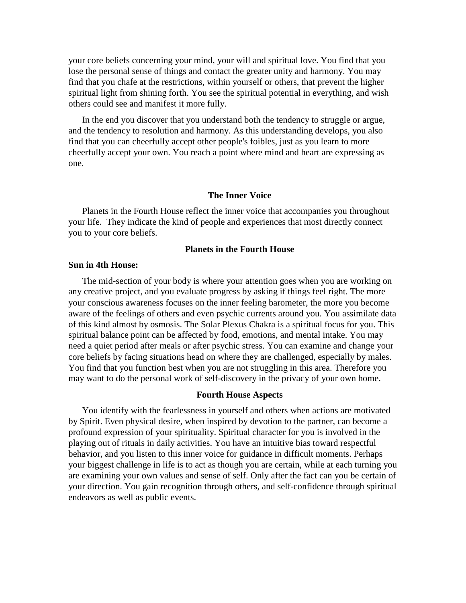your core beliefs concerning your mind, your will and spiritual love. You find that you lose the personal sense of things and contact the greater unity and harmony. You may find that you chafe at the restrictions, within yourself or others, that prevent the higher spiritual light from shining forth. You see the spiritual potential in everything, and wish others could see and manifest it more fully.

In the end you discover that you understand both the tendency to struggle or argue, and the tendency to resolution and harmony. As this understanding develops, you also find that you can cheerfully accept other people's foibles, just as you learn to more cheerfully accept your own. You reach a point where mind and heart are expressing as one.

#### **The Inner Voice**

Planets in the Fourth House reflect the inner voice that accompanies you throughout your life. They indicate the kind of people and experiences that most directly connect you to your core beliefs.

#### **Planets in the Fourth House**

#### **Sun in 4th House:**

The mid-section of your body is where your attention goes when you are working on any creative project, and you evaluate progress by asking if things feel right. The more your conscious awareness focuses on the inner feeling barometer, the more you become aware of the feelings of others and even psychic currents around you. You assimilate data of this kind almost by osmosis. The Solar Plexus Chakra is a spiritual focus for you. This spiritual balance point can be affected by food, emotions, and mental intake. You may need a quiet period after meals or after psychic stress. You can examine and change your core beliefs by facing situations head on where they are challenged, especially by males. You find that you function best when you are not struggling in this area. Therefore you may want to do the personal work of self-discovery in the privacy of your own home.

#### **Fourth House Aspects**

You identify with the fearlessness in yourself and others when actions are motivated by Spirit. Even physical desire, when inspired by devotion to the partner, can become a profound expression of your spirituality. Spiritual character for you is involved in the playing out of rituals in daily activities. You have an intuitive bias toward respectful behavior, and you listen to this inner voice for guidance in difficult moments. Perhaps your biggest challenge in life is to act as though you are certain, while at each turning you are examining your own values and sense of self. Only after the fact can you be certain of your direction. You gain recognition through others, and self-confidence through spiritual endeavors as well as public events.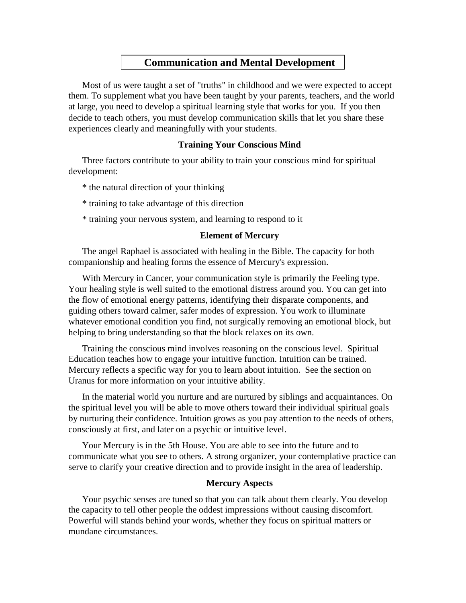# **Communication and Mental Development**

Most of us were taught a set of "truths" in childhood and we were expected to accept them. To supplement what you have been taught by your parents, teachers, and the world at large, you need to develop a spiritual learning style that works for you. If you then decide to teach others, you must develop communication skills that let you share these experiences clearly and meaningfully with your students.

### **Training Your Conscious Mind**

Three factors contribute to your ability to train your conscious mind for spiritual development:

- \* the natural direction of your thinking
- \* training to take advantage of this direction
- \* training your nervous system, and learning to respond to it

#### **Element of Mercury**

The angel Raphael is associated with healing in the Bible. The capacity for both companionship and healing forms the essence of Mercury's expression.

With Mercury in Cancer, your communication style is primarily the Feeling type. Your healing style is well suited to the emotional distress around you. You can get into the flow of emotional energy patterns, identifying their disparate components, and guiding others toward calmer, safer modes of expression. You work to illuminate whatever emotional condition you find, not surgically removing an emotional block, but helping to bring understanding so that the block relaxes on its own.

Training the conscious mind involves reasoning on the conscious level. Spiritual Education teaches how to engage your intuitive function. Intuition can be trained. Mercury reflects a specific way for you to learn about intuition. See the section on Uranus for more information on your intuitive ability.

In the material world you nurture and are nurtured by siblings and acquaintances. On the spiritual level you will be able to move others toward their individual spiritual goals by nurturing their confidence. Intuition grows as you pay attention to the needs of others, consciously at first, and later on a psychic or intuitive level.

Your Mercury is in the 5th House. You are able to see into the future and to communicate what you see to others. A strong organizer, your contemplative practice can serve to clarify your creative direction and to provide insight in the area of leadership.

#### **Mercury Aspects**

Your psychic senses are tuned so that you can talk about them clearly. You develop the capacity to tell other people the oddest impressions without causing discomfort. Powerful will stands behind your words, whether they focus on spiritual matters or mundane circumstances.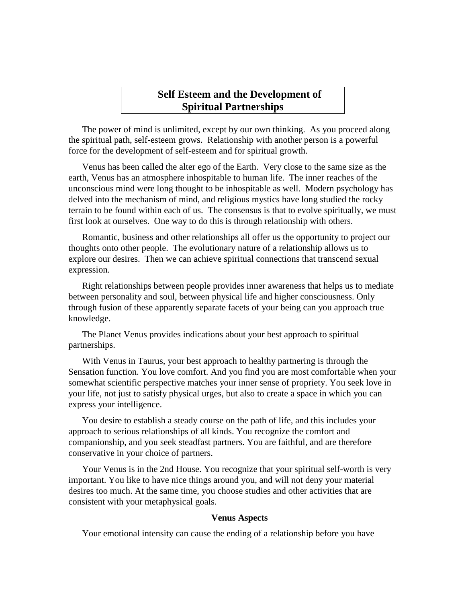## **Self Esteem and the Development of Spiritual Partnerships**

The power of mind is unlimited, except by our own thinking. As you proceed along the spiritual path, self-esteem grows. Relationship with another person is a powerful force for the development of self-esteem and for spiritual growth.

Venus has been called the alter ego of the Earth. Very close to the same size as the earth, Venus has an atmosphere inhospitable to human life. The inner reaches of the unconscious mind were long thought to be inhospitable as well. Modern psychology has delved into the mechanism of mind, and religious mystics have long studied the rocky terrain to be found within each of us. The consensus is that to evolve spiritually, we must first look at ourselves. One way to do this is through relationship with others.

Romantic, business and other relationships all offer us the opportunity to project our thoughts onto other people. The evolutionary nature of a relationship allows us to explore our desires. Then we can achieve spiritual connections that transcend sexual expression.

Right relationships between people provides inner awareness that helps us to mediate between personality and soul, between physical life and higher consciousness. Only through fusion of these apparently separate facets of your being can you approach true knowledge.

The Planet Venus provides indications about your best approach to spiritual partnerships.

With Venus in Taurus, your best approach to healthy partnering is through the Sensation function. You love comfort. And you find you are most comfortable when your somewhat scientific perspective matches your inner sense of propriety. You seek love in your life, not just to satisfy physical urges, but also to create a space in which you can express your intelligence.

You desire to establish a steady course on the path of life, and this includes your approach to serious relationships of all kinds. You recognize the comfort and companionship, and you seek steadfast partners. You are faithful, and are therefore conservative in your choice of partners.

Your Venus is in the 2nd House. You recognize that your spiritual self-worth is very important. You like to have nice things around you, and will not deny your material desires too much. At the same time, you choose studies and other activities that are consistent with your metaphysical goals.

#### **Venus Aspects**

Your emotional intensity can cause the ending of a relationship before you have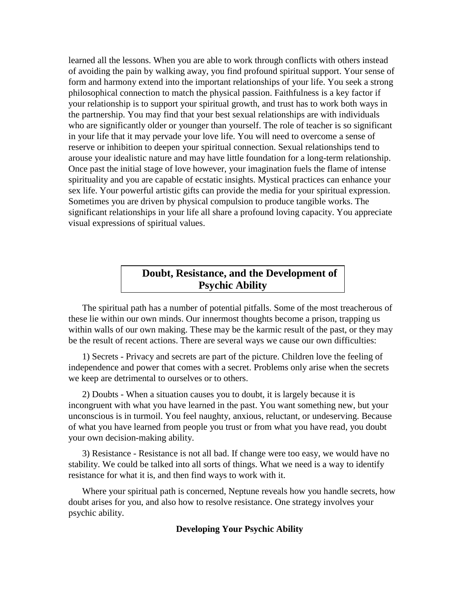learned all the lessons. When you are able to work through conflicts with others instead of avoiding the pain by walking away, you find profound spiritual support. Your sense of form and harmony extend into the important relationships of your life. You seek a strong philosophical connection to match the physical passion. Faithfulness is a key factor if your relationship is to support your spiritual growth, and trust has to work both ways in the partnership. You may find that your best sexual relationships are with individuals who are significantly older or younger than yourself. The role of teacher is so significant in your life that it may pervade your love life. You will need to overcome a sense of reserve or inhibition to deepen your spiritual connection. Sexual relationships tend to arouse your idealistic nature and may have little foundation for a long-term relationship. Once past the initial stage of love however, your imagination fuels the flame of intense spirituality and you are capable of ecstatic insights. Mystical practices can enhance your sex life.Your powerful artistic gifts can provide the media for your spiritual expression. Sometimes you are driven by physical compulsion to produce tangible works. The significant relationships in your life all share a profound loving capacity. You appreciate visual expressions of spiritual values.

# **Doubt, Resistance, and the Development of Psychic Ability**

The spiritual path has a number of potential pitfalls. Some of the most treacherous of these lie within our own minds. Our innermost thoughts become a prison, trapping us within walls of our own making. These may be the karmic result of the past, or they may be the result of recent actions. There are several ways we cause our own difficulties:

1) Secrets - Privacy and secrets are part of the picture. Children love the feeling of independence and power that comes with a secret. Problems only arise when the secrets we keep are detrimental to ourselves or to others.

2) Doubts - When a situation causes you to doubt, it is largely because it is incongruent with what you have learned in the past. You want something new, but your unconscious is in turmoil. You feel naughty, anxious, reluctant, or undeserving. Because of what you have learned from people you trust or from what you have read, you doubt your own decision-making ability.

3) Resistance - Resistance is not all bad. If change were too easy, we would have no stability. We could be talked into all sorts of things. What we need is a way to identify resistance for what it is, and then find ways to work with it.

Where your spiritual path is concerned, Neptune reveals how you handle secrets, how doubt arises for you, and also how to resolve resistance. One strategy involves your psychic ability.

#### **Developing Your Psychic Ability**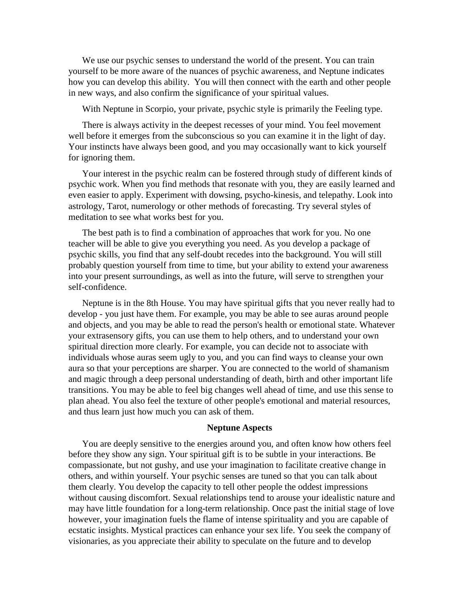We use our psychic senses to understand the world of the present. You can train yourself to be more aware of the nuances of psychic awareness, and Neptune indicates how you can develop this ability. You will then connect with the earth and other people in new ways, and also confirm the significance of your spiritual values.

With Neptune in Scorpio, your private, psychic style is primarily the Feeling type.

There is always activity in the deepest recesses of your mind. You feel movement well before it emerges from the subconscious so you can examine it in the light of day. Your instincts have always been good, and you may occasionally want to kick yourself for ignoring them.

Your interest in the psychic realm can be fostered through study of different kinds of psychic work. When you find methods that resonate with you, they are easily learned and even easier to apply. Experiment with dowsing, psycho-kinesis, and telepathy. Look into astrology, Tarot, numerology or other methods of forecasting. Try several styles of meditation to see what works best for you.

The best path is to find a combination of approaches that work for you. No one teacher will be able to give you everything you need. As you develop a package of psychic skills, you find that any self-doubt recedes into the background. You will still probably question yourself from time to time, but your ability to extend your awareness into your present surroundings, as well as into the future, will serve to strengthen your self-confidence.

Neptune is in the 8th House. You may have spiritual gifts that you never really had to develop - you just have them. For example, you may be able to see auras around people and objects, and you may be able to read the person's health or emotional state. Whatever your extrasensory gifts, you can use them to help others, and to understand your own spiritual direction more clearly. For example, you can decide not to associate with individuals whose auras seem ugly to you, and you can find ways to cleanse your own aura so that your perceptions are sharper. You are connected to the world of shamanism and magic through a deep personal understanding of death, birth and other important life transitions. You may be able to feel big changes well ahead of time, and use this sense to plan ahead. You also feel the texture of other people's emotional and material resources, and thus learn just how much you can ask of them.

#### **Neptune Aspects**

You are deeply sensitive to the energies around you, and often know how others feel before they show any sign. Your spiritual gift is to be subtle in your interactions. Be compassionate, but not gushy, and use your imagination to facilitate creative change in others, and within yourself. Your psychic senses are tuned so that you can talk about them clearly. You develop the capacity to tell other people the oddest impressions without causing discomfort. Sexual relationships tend to arouse your idealistic nature and may have little foundation for a long-term relationship. Once past the initial stage of love however, your imagination fuels the flame of intense spirituality and you are capable of ecstatic insights. Mystical practices can enhance your sex life.You seek the company of visionaries, as you appreciate their ability to speculate on the future and to develop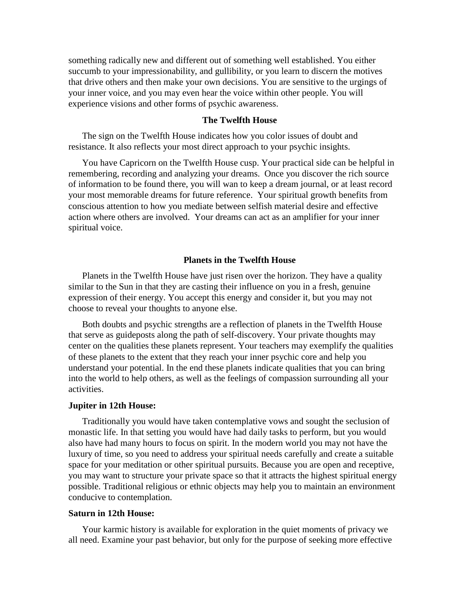something radically new and different out of something well established. You either succumb to your impressionability, and gullibility, or you learn to discern the motives that drive others and then make your own decisions. You are sensitive to the urgings of your inner voice, and you may even hear the voice within other people. You will experience visions and other forms of psychic awareness.

#### **The Twelfth House**

The sign on the Twelfth House indicates how you color issues of doubt and resistance. It also reflects your most direct approach to your psychic insights.

You have Capricorn on the Twelfth House cusp. Your practical side can be helpful in remembering, recording and analyzing your dreams. Once you discover the rich source of information to be found there, you will wan to keep a dream journal, or at least record your most memorable dreams for future reference. Your spiritual growth benefits from conscious attention to how you mediate between selfish material desire and effective action where others are involved. Your dreams can act as an amplifier for your inner spiritual voice.

#### **Planets in the Twelfth House**

Planets in the Twelfth House have just risen over the horizon. They have a quality similar to the Sun in that they are casting their influence on you in a fresh, genuine expression of their energy. You accept this energy and consider it, but you may not choose to reveal your thoughts to anyone else.

Both doubts and psychic strengths are a reflection of planets in the Twelfth House that serve as guideposts along the path of self-discovery. Your private thoughts may center on the qualities these planets represent. Your teachers may exemplify the qualities of these planets to the extent that they reach your inner psychic core and help you understand your potential. In the end these planets indicate qualities that you can bring into the world to help others, as well as the feelings of compassion surrounding all your activities.

#### **Jupiter in 12th House:**

Traditionally you would have taken contemplative vows and sought the seclusion of monastic life. In that setting you would have had daily tasks to perform, but you would also have had many hours to focus on spirit. In the modern world you may not have the luxury of time, so you need to address your spiritual needs carefully and create a suitable space for your meditation or other spiritual pursuits. Because you are open and receptive, you may want to structure your private space so that it attracts the highest spiritual energy possible. Traditional religious or ethnic objects may help you to maintain an environment conducive to contemplation.

#### **Saturn in 12th House:**

Your karmic history is available for exploration in the quiet moments of privacy we all need. Examine your past behavior, but only for the purpose of seeking more effective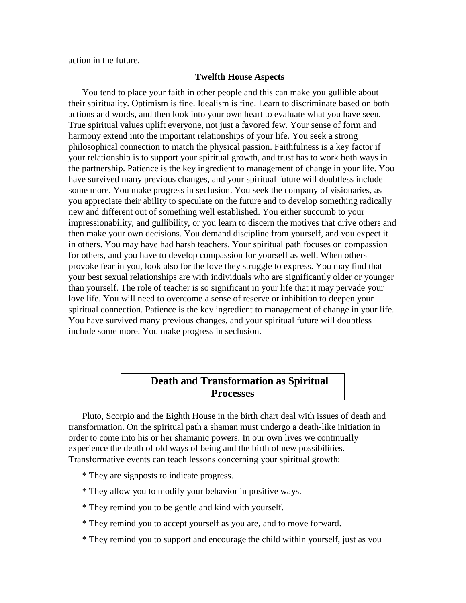action in the future.

#### **Twelfth House Aspects**

You tend to place your faith in other people and this can make you gullible about their spirituality. Optimism is fine. Idealism is fine. Learn to discriminate based on both actions and words, and then look into your own heart to evaluate what you have seen. True spiritual values uplift everyone, not just a favored few. Your sense of form and harmony extend into the important relationships of your life. You seek a strong philosophical connection to match the physical passion. Faithfulness is a key factor if your relationship is to support your spiritual growth, and trust has to work both ways in the partnership. Patience is the key ingredient to management of change in your life. You have survived many previous changes, and your spiritual future will doubtless include some more. You make progress in seclusion. You seek the company of visionaries, as you appreciate their ability to speculate on the future and to develop something radically new and different out of something well established. You either succumb to your impressionability, and gullibility, or you learn to discern the motives that drive others and then make your own decisions. You demand discipline from yourself, and you expect it in others. You may have had harsh teachers. Your spiritual path focuses on compassion for others, and you have to develop compassion for yourself as well. When others provoke fear in you, look also for the love they struggle to express. You may find that your best sexual relationships are with individuals who are significantly older or younger than yourself. The role of teacher is so significant in your life that it may pervade your love life. You will need to overcome a sense of reserve or inhibition to deepen your spiritual connection. Patience is the key ingredient to management of change in your life. You have survived many previous changes, and your spiritual future will doubtless include some more. You make progress in seclusion.

# **Death and Transformation as Spiritual Processes**

Pluto, Scorpio and the Eighth House in the birth chart deal with issues of death and transformation. On the spiritual path a shaman must undergo a death-like initiation in order to come into his or her shamanic powers. In our own lives we continually experience the death of old ways of being and the birth of new possibilities. Transformative events can teach lessons concerning your spiritual growth:

- \* They are signposts to indicate progress.
- \* They allow you to modify your behavior in positive ways.
- \* They remind you to be gentle and kind with yourself.
- \* They remind you to accept yourself as you are, and to move forward.
- \* They remind you to support and encourage the child within yourself, just as you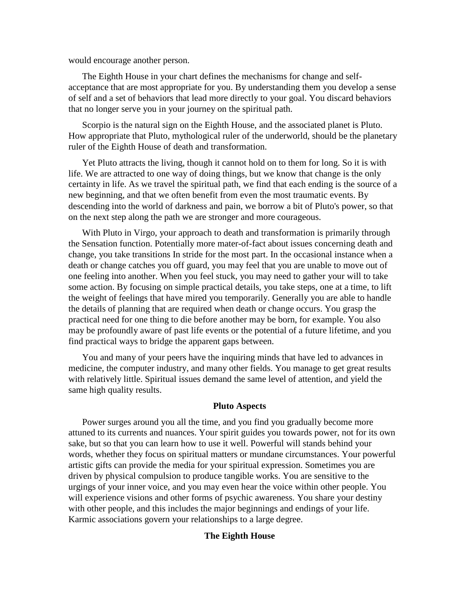would encourage another person.

The Eighth House in your chart defines the mechanisms for change and self acceptance that are most appropriate for you. By understanding them you develop a sense of self and a set of behaviors that lead more directly to your goal. You discard behaviors that no longer serve you in your journey on the spiritual path.

Scorpio is the natural sign on the Eighth House, and the associated planet is Pluto. How appropriate that Pluto, mythological ruler of the underworld, should be the planetary ruler of the Eighth House of death and transformation.

Yet Pluto attracts the living, though it cannot hold on to them for long. So it is with life. We are attracted to one way of doing things, but we know that change is the only certainty in life.As we travel the spiritual path, we find that each ending is the source of a new beginning, and that we often benefit from even the most traumatic events. By descending into the world of darkness and pain, we borrow a bit of Pluto's power, so that on the next step along the path we are stronger and more courageous.

With Pluto in Virgo, your approach to death and transformation is primarily through the Sensation function. Potentially more mater-of-fact about issues concerning death and change, you take transitions In stride for the most part. In the occasional instance when a death or change catches you off guard, you may feel that you are unable to move out of one feeling into another. When you feel stuck, you may need to gather your will to take some action. By focusing on simple practical details, you take steps, one at a time, to lift the weight of feelings that have mired you temporarily. Generally you are able to handle the details of planning that are required when death or change occurs. You grasp the practical need for one thing to die before another may be born, for example. You also may be profoundly aware of past life events or the potential of a future lifetime, and you find practical ways to bridge the apparent gaps between.

You and many of your peers have the inquiring minds that have led to advances in medicine, the computer industry, and many other fields. You manage to get great results with relatively little. Spiritual issues demand the same level of attention, and yield the same high quality results.

#### **Pluto Aspects**

Power surges around you all the time, and you find you gradually become more attuned to its currents and nuances. Your spirit guides you towards power, not for its own sake, but so that you can learn how to use it well. Powerful will stands behind your words, whether they focus on spiritual matters or mundane circumstances. Your powerful artistic gifts can provide the media for your spiritual expression. Sometimes you are driven by physical compulsion to produce tangible works. You are sensitive to the urgings of your inner voice, and you may even hear the voice within other people. You will experience visions and other forms of psychic awareness. You share your destiny with other people, and this includes the major beginnings and endings of your life. Karmic associations govern your relationships to a large degree.

#### **The Eighth House**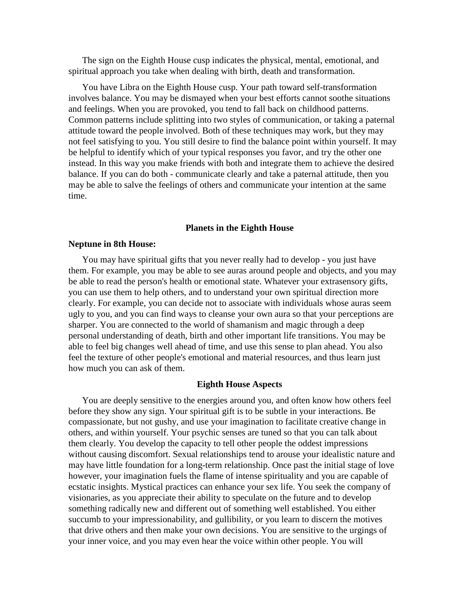The sign on the Eighth House cusp indicates the physical, mental, emotional, and spiritual approach you take when dealing with birth, death and transformation.

You have Libra on the Eighth House cusp. Your path toward self-transformation involves balance. You may be dismayed when your best efforts cannot soothe situations and feelings. When you are provoked, you tend to fall back on childhood patterns. Common patterns include splitting into two styles of communication, or taking a paternal attitude toward the people involved. Both of these techniques may work, but they may not feel satisfying to you. You still desire to find the balance point within yourself. It may be helpful to identify which of your typical responses you favor, and try the other one instead. In this way you make friends with both and integrate them to achieve the desired balance. If you can do both - communicate clearly and take a paternal attitude, then you may be able to salve the feelings of others and communicate your intention at the same time.

#### **Planets in the Eighth House**

#### **Neptune in 8th House:**

You may have spiritual gifts that you never really had to develop - you just have them. For example, you may be able to see auras around people and objects, and you may be able to read the person's health or emotional state. Whatever your extrasensory gifts, you can use them to help others, and to understand your own spiritual direction more clearly. For example, you can decide not to associate with individuals whose auras seem ugly to you, and you can find ways to cleanse your own aura so that your perceptions are sharper. You are connected to the world of shamanism and magic through a deep personal understanding of death, birth and other important life transitions. You may be able to feel big changes well ahead of time, and use this sense to plan ahead. You also feel the texture of other people's emotional and material resources, and thus learn just how much you can ask of them.

#### **Eighth House Aspects**

You are deeply sensitive to the energies around you, and often know how others feel before they show any sign. Your spiritual gift is to be subtle in your interactions. Be compassionate, but not gushy, and use your imagination to facilitate creative change in others, and within yourself. Your psychic senses are tuned so that you can talk about them clearly. You develop the capacity to tell other people the oddest impressions without causing discomfort. Sexual relationships tend to arouse your idealistic nature and may have little foundation for a long-term relationship. Once past the initial stage of love however, your imagination fuels the flame of intense spirituality and you are capable of ecstatic insights. Mystical practices can enhance your sex life.You seek the company of visionaries, as you appreciate their ability to speculate on the future and to develop something radically new and different out of something well established. You either succumb to your impressionability, and gullibility, or you learn to discern the motives that drive others and then make your own decisions. You are sensitive to the urgings of your inner voice, and you may even hear the voice within other people. You will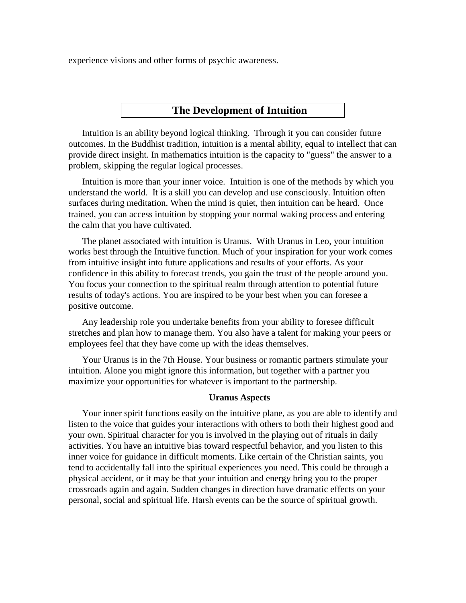experience visions and other forms of psychic awareness.

## **The Development of Intuition**

Intuition is an ability beyond logical thinking. Through it you can consider future outcomes. In the Buddhist tradition, intuition is a mental ability, equal to intellect that can provide direct insight. In mathematics intuition is the capacity to "guess" the answer to a problem, skipping the regular logical processes.

Intuition is more than your inner voice. Intuition is one of the methods by which you understand the world. It is a skill you can develop and use consciously. Intuition often surfaces during meditation. When the mind is quiet, then intuition can be heard. Once trained, you can access intuition by stopping your normal waking process and entering the calm that you have cultivated.

The planet associated with intuition is Uranus. With Uranus in Leo, your intuition works best through the Intuitive function. Much of your inspiration for your work comes from intuitive insight into future applications and results of your efforts. As your confidence in this ability to forecast trends, you gain the trust of the people around you. You focus your connection to the spiritual realm through attention to potential future results of today's actions. You are inspired to be your best when you can foresee a positive outcome.

Any leadership role you undertake benefits from your ability to foresee difficult stretches and plan how to manage them. You also have a talent for making your peers or employees feel that they have come up with the ideas themselves.

Your Uranus is in the 7th House. Your business or romantic partners stimulate your intuition. Alone you might ignore this information, but together with a partner you maximize your opportunities for whatever is important to the partnership.

#### **Uranus Aspects**

Your inner spirit functions easily on the intuitive plane, as you are able to identify and listen to the voice that guides your interactions with others to both their highest good and your own. Spiritual character for you is involved in the playing out of rituals in daily activities. You have an intuitive bias toward respectful behavior, and you listen to this inner voice for guidance in difficult moments. Like certain of the Christian saints, you tend to accidentally fall into the spiritual experiences you need. This could be through a physical accident, or it may be that your intuition and energy bring you to the proper crossroads again and again. Sudden changes in direction have dramatic effects on your personal, social and spiritual life. Harsh events can be the source of spiritual growth.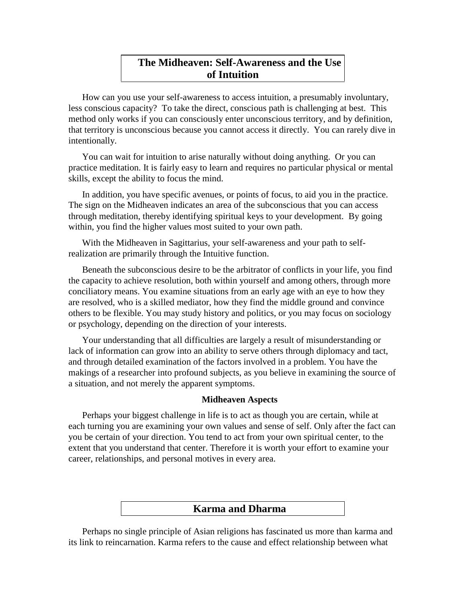# **The Midheaven: Self-Awareness and the Use of Intuition**

How canyou use your self-awareness to access intuition, a presumably involuntary, less conscious capacity? To take the direct, conscious path is challenging at best. This method only works if you can consciously enter unconscious territory, and by definition, that territory is unconscious because you cannot access itdirectly. You can rarely dive in intentionally.

You can wait for intuition to arise naturally without doing anything. Or you can practice meditation. It is fairly easy to learn and requires no particular physical or mental skills, except the ability to focus the mind.

In addition, you have specific avenues, or points of focus, to aid you in the practice. The sign on the Midheaven indicates an area of the subconscious that you can access through meditation, thereby identifying spiritual keys to your development. By going within, you find the higher values most suited to your own path.

With the Midheaven in Sagittarius, your self-awareness and your path to selfrealization are primarily through the Intuitive function.

Beneath the subconscious desire to be the arbitrator of conflicts in your life, you find the capacity to achieve resolution, both within yourself and among others, through more conciliatory means. You examine situations from an early age with an eye to how they are resolved, who is a skilled mediator, how they find the middle ground and convince others to be flexible. You may study history and politics, or you may focus on sociology or psychology, depending on the direction of your interests.

Your understanding that all difficulties are largely a result of misunderstanding or lack of information can grow into an ability to serve others through diplomacy and tact, and through detailed examination of the factors involved in a problem. You have the makings of a researcher into profound subjects, as you believe in examining the source of a situation, and not merely the apparent symptoms.

#### **Midheaven Aspects**

Perhaps your biggest challenge in life is to act as though you are certain, while at each turning you are examining your own values and sense of self. Only after the fact can you be certain of your direction. You tend to act from your own spiritual center, to the extent that you understand that center. Therefore it is worth your effort to examine your career, relationships, and personal motives in every area.

## **Karma and Dharma**

Perhaps no single principle of Asian religions has fascinated us more than karma and its link to reincarnation. Karma refers to the cause and effect relationship between what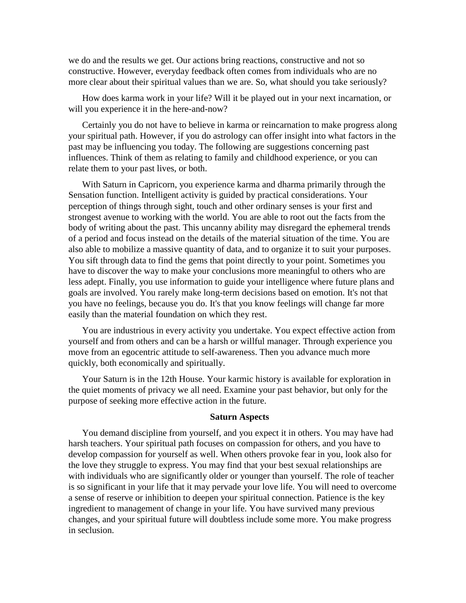we do and the results we get. Our actions bring reactions, constructive and not so constructive. However, everyday feedback often comes from individuals who are no more clear about their spiritual values than we are. So, what should you take seriously?

How does karma work in your life? Will it be played out in your next incarnation, or will you experience it in the here-and-now?

Certainly you do not have to believe in karma or reincarnation to make progress along your spiritual path. However, if you do astrology can offer insight into what factors in the past may be influencing you today. The following are suggestions concerning past influences. Think of them as relating to family and childhood experience, or you can relate them to your past lives, or both.

With Saturn in Capricorn, you experience karma and dharma primarily through the Sensation function. Intelligent activity is guided by practical considerations. Your perception of things through sight, touch and other ordinary senses is your first and strongest avenue to working with the world. You are able to root out the facts from the body of writing about the past. This uncanny ability may disregard the ephemeral trends of a period and focus instead on the details of the material situation of the time. You are also able to mobilize a massive quantity of data, and to organize it to suit your purposes. You sift through data to find the gems that point directly to your point. Sometimes you have to discover the way to make your conclusions more meaningful to others who are less adept. Finally, you use information to guide your intelligence where future plans and goals are involved. You rarely make long-term decisions based on emotion. It's not that you have no feelings, because you do. It's that you know feelings will change far more easily than the material foundation on which they rest.

You are industrious in every activity you undertake. You expect effective action from yourself and from others and can be a harsh or willful manager. Through experience you move from an egocentric attitude to self-awareness. Then you advance much more quickly, both economically and spiritually.

Your Saturn is in the 12th House. Your karmic history is available for exploration in the quiet moments of privacy we all need. Examine your past behavior, but only for the purpose of seeking more effective action in the future.

#### **Saturn Aspects**

You demand discipline from yourself, and you expect it in others. You may have had harsh teachers. Your spiritual path focuses on compassion for others, and you have to develop compassion for yourself as well. When others provoke fear in you, look also for the love they struggle to express. You may find that your best sexual relationships are with individuals who are significantly older or younger than yourself. The role of teacher is so significant in your life that it may pervade your love life. You will need to overcome a sense of reserve or inhibition to deepen your spiritual connection. Patience is the key ingredient to management of change in your life. You have survived many previous changes, and your spiritual future will doubtless include some more. You make progress in seclusion.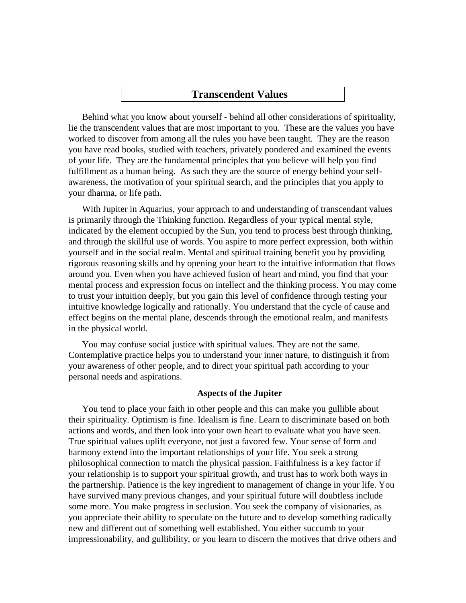#### **Transcendent Values**

Behind what you know about yourself - behind all other considerations of spirituality, lie the transcendent values that are most important to you. These are the values you have worked to discover from among all the rules you have been taught. They are the reason you have read books, studied with teachers, privately pondered and examined the events of your life. They are the fundamental principles that you believe will help you find fulfillment as a human being. As such they are the source of energy behind your self awareness, the motivation of your spiritual search, and the principles that you apply to your dharma, or life path.

With Jupiter in Aquarius, your approach to and understanding of transcendant values is primarily through the Thinking function. Regardless of your typical mental style, indicated by the element occupied by the Sun, you tend to process best through thinking, and through the skillful use of words. You aspire to more perfect expression, both within yourself and in the social realm. Mental and spiritual training benefit you by providing rigorous reasoning skills and by opening your heart to the intuitive information that flows around you. Even when you have achieved fusion of heart and mind, you find that your mental process and expression focus on intellect and the thinking process. You may come to trust your intuition deeply, but you gain this level of confidence through testing your intuitive knowledge logically and rationally. You understand that the cycle of cause and effect begins on the mental plane, descends through the emotional realm, and manifests in the physical world.

You may confuse social justice with spiritual values. They are not the same. Contemplative practice helps you to understand your inner nature, to distinguish it from your awareness of other people, and to direct your spiritual path according to your personal needs and aspirations.

#### **Aspects of the Jupiter**

You tend to place your faith in other people and this can make you gullible about their spirituality. Optimism is fine. Idealism is fine. Learn to discriminate based on both actions and words, and then look into your own heart to evaluate what you have seen. True spiritual values uplift everyone, not just a favored few. Your sense of form and harmony extend into the important relationships of your life. You seek a strong philosophical connection to match the physical passion. Faithfulness is a key factor if your relationship is to support your spiritual growth, and trust has to work both ways in the partnership. Patience is the key ingredient to management of change in your life. You have survived many previous changes, and your spiritual future will doubtless include some more. You make progress in seclusion. You seek the company of visionaries, as you appreciate their ability to speculate on the future and to develop something radically new and different out of something well established. You either succumb to your impressionability, and gullibility, or you learn to discern the motives that drive others and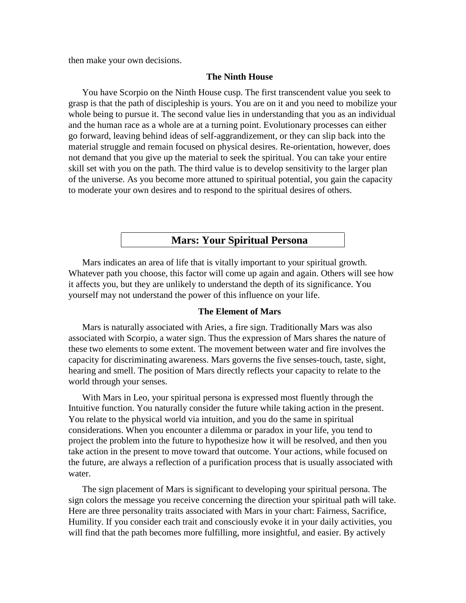then make your own decisions.

#### **The Ninth House**

You have Scorpio on the Ninth House cusp. The first transcendent value you seek to grasp is that the path of discipleship is yours. You are on it and you need to mobilize your whole being to pursue it. The second value lies in understanding that you as an individual and the human race as a whole are at a turning point. Evolutionary processes can either go forward, leaving behind ideas of self-aggrandizement, or they can slip back into the material struggle and remain focused on physical desires. Re-orientation, however, does not demand that you give up the material to seek the spiritual. You can take your entire skill set with you on the path. The third value is to develop sensitivity to the larger plan of the universe. As you become more attuned to spiritual potential, you gain the capacity to moderate your own desires and to respond to the spiritual desires of others.

## **Mars: Your Spiritual Persona**

Mars indicates an area of life that is vitally important to your spiritual growth. Whatever path you choose, this factor will come up again and again. Others will see how it affects you, but they are unlikely to understand the depth of its significance. You yourself may not understand the power of this influence on your life.

#### **The Element of Mars**

Mars is naturally associated with Aries, a fire sign. Traditionally Mars was also associated with Scorpio, a water sign. Thus the expression of Mars shares the nature of these two elements to some extent. The movement between water and fire involves the capacity for discriminating awareness. Mars governs the five senses-touch, taste, sight, hearing and smell. The position of Mars directly reflects your capacity to relate to the world through your senses.

With Mars in Leo, your spiritual persona is expressed most fluently through the Intuitive function. You naturally consider the future while taking action in the present. You relate to the physical world via intuition, and you do the same in spiritual considerations. When you encounter a dilemma or paradox in your life, you tend to project the problem into the future to hypothesize how it will be resolved, and then you take action in the present to move toward that outcome. Your actions, while focused on the future, are always a reflection of a purification process that is usually associated with water.

The sign placement of Mars is significant to developing your spiritual persona. The sign colors the message you receive concerning the direction your spiritual path will take. Here are three personality traits associated with Mars in your chart: Fairness, Sacrifice, Humility. If you consider each trait and consciously evoke it in your daily activities, you will find that the path becomes more fulfilling, more insightful, and easier. By actively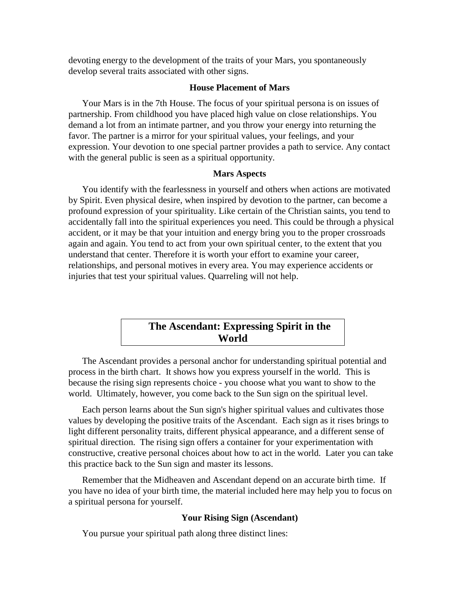devoting energy to the development of the traits of your Mars, you spontaneously develop several traits associated with other signs.

## **House Placement of Mars**

Your Mars is in the 7th House. The focus of your spiritual persona is on issues of partnership. From childhood you have placed high value on close relationships. You demand a lot from an intimate partner, and you throw your energy into returning the favor. The partner is a mirror for your spiritual values, your feelings, and your expression. Your devotion to one special partner provides a path to service. Any contact with the general public is seen as a spiritual opportunity.

#### **Mars Aspects**

You identify with the fearlessness in yourself and others when actions are motivated by Spirit. Even physical desire, when inspired by devotion to the partner, can become a profound expression of your spirituality. Like certain of the Christian saints, you tend to accidentally fall into the spiritual experiences you need. This could be through a physical accident, or it may be that your intuition and energy bring you to the proper crossroads again and again. You tend to act from your own spiritual center, to the extent that you understand that center. Therefore it is worth your effort to examine your career, relationships, and personal motives in every area. You may experience accidents or injuries that test your spiritual values. Quarreling will not help.

# **The Ascendant: Expressing Spirit in the World**

The Ascendant provides a personal anchor for understanding spiritual potential and process in the birth chart. It shows how you express yourself in the world. This is because the rising sign represents choice - you choose what you want to show to the world. Ultimately, however, you come back to the Sun sign on the spiritual level.

Each person learns about the Sun sign's higher spiritual values and cultivates those values by developing the positive traits of the Ascendant. Each sign as it rises brings to light different personality traits, different physical appearance, and a different sense of spiritual direction. The rising sign offers a container for your experimentation with constructive, creative personal choices about how to act in the world. Later you can take this practice back to the Sun sign and master its lessons.

Remember that the Midheaven and Ascendant depend on an accurate birth time. If you have no idea of your birth time, the material included here may help you to focus on a spiritual persona for yourself.

#### **Your Rising Sign (Ascendant)**

You pursue your spiritual path along three distinct lines: